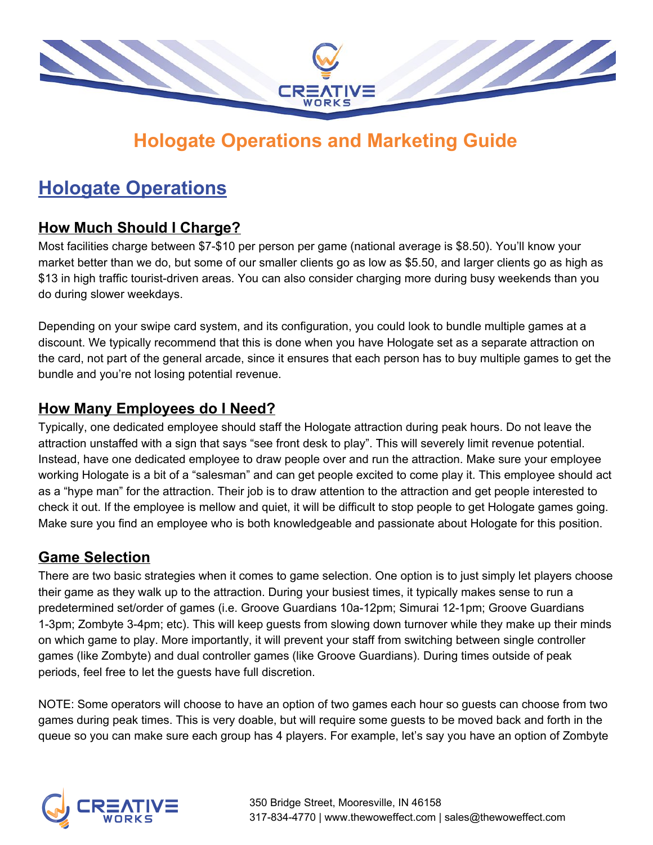

# **Hologate Operations and Marketing Guide**

# **Hologate Operations**

### **How Much Should I Charge?**

Most facilities charge between \$7-\$10 per person per game (national average is \$8.50). You'll know your market better than we do, but some of our smaller clients go as low as \$5.50, and larger clients go as high as \$13 in high traffic tourist-driven areas. You can also consider charging more during busy weekends than you do during slower weekdays.

Depending on your swipe card system, and its configuration, you could look to bundle multiple games at a discount. We typically recommend that this is done when you have Hologate set as a separate attraction on the card, not part of the general arcade, since it ensures that each person has to buy multiple games to get the bundle and you're not losing potential revenue.

#### **How Many Employees do I Need?**

Typically, one dedicated employee should staff the Hologate attraction during peak hours. Do not leave the attraction unstaffed with a sign that says "see front desk to play". This will severely limit revenue potential. Instead, have one dedicated employee to draw people over and run the attraction. Make sure your employee working Hologate is a bit of a "salesman" and can get people excited to come play it. This employee should act as a "hype man" for the attraction. Their job is to draw attention to the attraction and get people interested to check it out. If the employee is mellow and quiet, it will be difficult to stop people to get Hologate games going. Make sure you find an employee who is both knowledgeable and passionate about Hologate for this position.

### **Game Selection**

There are two basic strategies when it comes to game selection. One option is to just simply let players choose their game as they walk up to the attraction. During your busiest times, it typically makes sense to run a predetermined set/order of games (i.e. Groove Guardians 10a-12pm; Simurai 12-1pm; Groove Guardians 1-3pm; Zombyte 3-4pm; etc). This will keep guests from slowing down turnover while they make up their minds on which game to play. More importantly, it will prevent your staff from switching between single controller games (like Zombyte) and dual controller games (like Groove Guardians). During times outside of peak periods, feel free to let the guests have full discretion.

NOTE: Some operators will choose to have an option of two games each hour so guests can choose from two games during peak times. This is very doable, but will require some guests to be moved back and forth in the queue so you can make sure each group has 4 players. For example, let's say you have an option of Zombyte

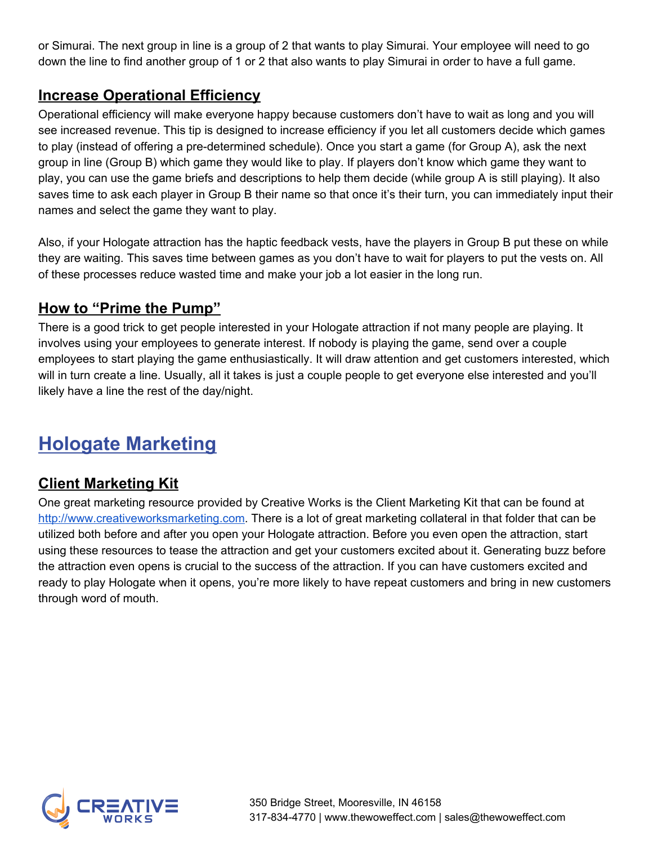or Simurai. The next group in line is a group of 2 that wants to play Simurai. Your employee will need to go down the line to find another group of 1 or 2 that also wants to play Simurai in order to have a full game.

#### **Increase Operational Efficiency**

Operational efficiency will make everyone happy because customers don't have to wait as long and you will see increased revenue. This tip is designed to increase efficiency if you let all customers decide which games to play (instead of offering a pre-determined schedule). Once you start a game (for Group A), ask the next group in line (Group B) which game they would like to play. If players don't know which game they want to play, you can use the game briefs and descriptions to help them decide (while group A is still playing). It also saves time to ask each player in Group B their name so that once it's their turn, you can immediately input their names and select the game they want to play.

Also, if your Hologate attraction has the haptic feedback vests, have the players in Group B put these on while they are waiting. This saves time between games as you don't have to wait for players to put the vests on. All of these processes reduce wasted time and make your job a lot easier in the long run.

#### **How to "Prime the Pump"**

There is a good trick to get people interested in your Hologate attraction if not many people are playing. It involves using your employees to generate interest. If nobody is playing the game, send over a couple employees to start playing the game enthusiastically. It will draw attention and get customers interested, which will in turn create a line. Usually, all it takes is just a couple people to get everyone else interested and you'll likely have a line the rest of the day/night.

# **Hologate Marketing**

### **Client Marketing Kit**

One great marketing resource provided by Creative Works is the Client Marketing Kit that can be found at [http://www.creativeworksmarketing.com.](http://www.creativeworksmarketing.com/) There is a lot of great marketing collateral in that folder that can be utilized both before and after you open your Hologate attraction. Before you even open the attraction, start using these resources to tease the attraction and get your customers excited about it. Generating buzz before the attraction even opens is crucial to the success of the attraction. If you can have customers excited and ready to play Hologate when it opens, you're more likely to have repeat customers and bring in new customers through word of mouth.

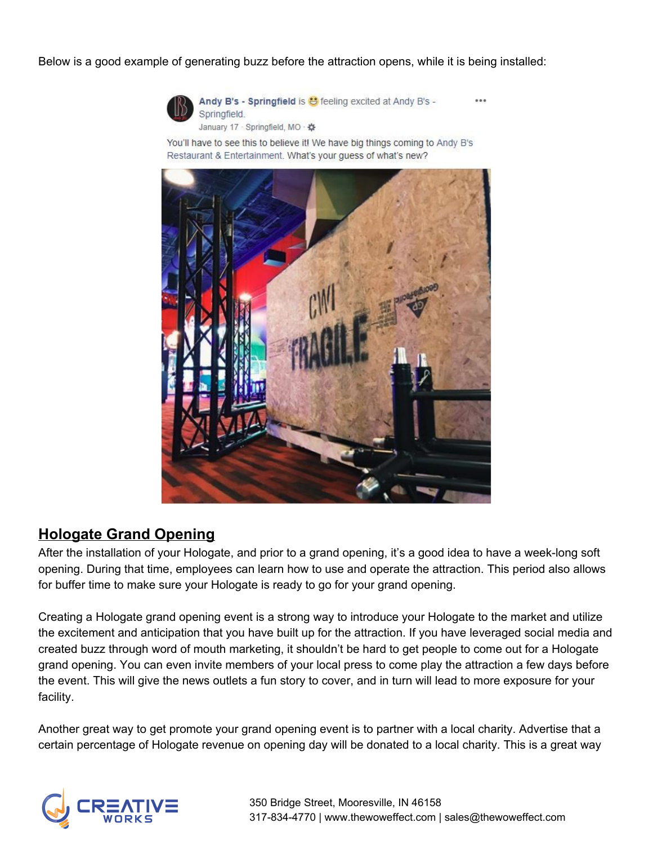Below is a good example of generating buzz before the attraction opens, while it is being installed:



Andy B's - Springfield is & feeling excited at Andy B's -Springfield. January 17 - Springfield, MO - \*\*

You'll have to see this to believe it! We have big things coming to Andy B's Restaurant & Entertainment. What's your guess of what's new?



### **Hologate Grand Opening**

After the installation of your Hologate, and prior to a grand opening, it's a good idea to have a week-long soft opening. During that time, employees can learn how to use and operate the attraction. This period also allows for buffer time to make sure your Hologate is ready to go for your grand opening.

Creating a Hologate grand opening event is a strong way to introduce your Hologate to the market and utilize the excitement and anticipation that you have built up for the attraction. If you have leveraged social media and created buzz through word of mouth marketing, it shouldn't be hard to get people to come out for a Hologate grand opening. You can even invite members of your local press to come play the attraction a few days before the event. This will give the news outlets a fun story to cover, and in turn will lead to more exposure for your facility.

Another great way to get promote your grand opening event is to partner with a local charity. Advertise that a certain percentage of Hologate revenue on opening day will be donated to a local charity. This is a great way

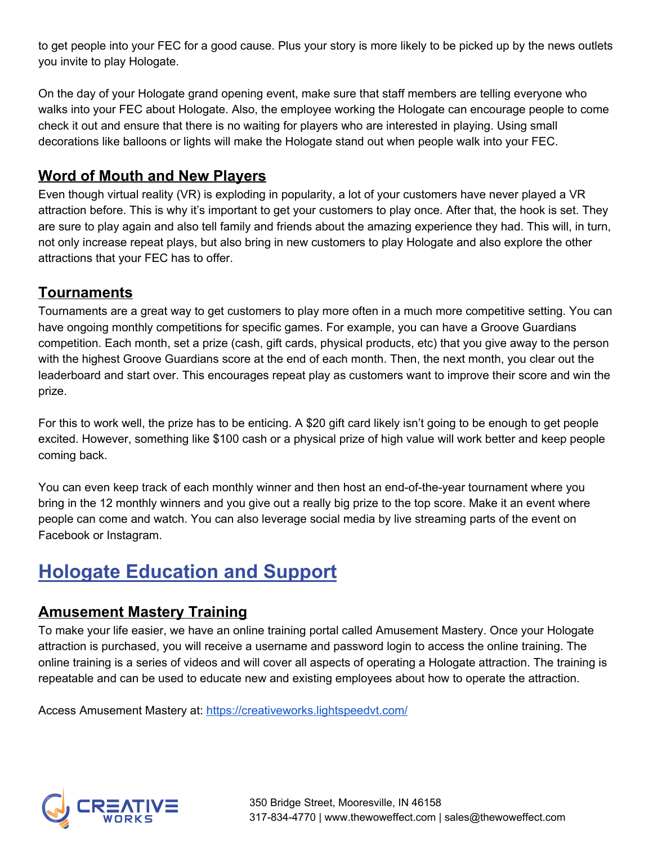to get people into your FEC for a good cause. Plus your story is more likely to be picked up by the news outlets you invite to play Hologate.

On the day of your Hologate grand opening event, make sure that staff members are telling everyone who walks into your FEC about Hologate. Also, the employee working the Hologate can encourage people to come check it out and ensure that there is no waiting for players who are interested in playing. Using small decorations like balloons or lights will make the Hologate stand out when people walk into your FEC.

#### **Word of Mouth and New Players**

Even though virtual reality (VR) is exploding in popularity, a lot of your customers have never played a VR attraction before. This is why it's important to get your customers to play once. After that, the hook is set. They are sure to play again and also tell family and friends about the amazing experience they had. This will, in turn, not only increase repeat plays, but also bring in new customers to play Hologate and also explore the other attractions that your FEC has to offer.

### **Tournaments**

Tournaments are a great way to get customers to play more often in a much more competitive setting. You can have ongoing monthly competitions for specific games. For example, you can have a Groove Guardians competition. Each month, set a prize (cash, gift cards, physical products, etc) that you give away to the person with the highest Groove Guardians score at the end of each month. Then, the next month, you clear out the leaderboard and start over. This encourages repeat play as customers want to improve their score and win the prize.

For this to work well, the prize has to be enticing. A \$20 gift card likely isn't going to be enough to get people excited. However, something like \$100 cash or a physical prize of high value will work better and keep people coming back.

You can even keep track of each monthly winner and then host an end-of-the-year tournament where you bring in the 12 monthly winners and you give out a really big prize to the top score. Make it an event where people can come and watch. You can also leverage social media by live streaming parts of the event on Facebook or Instagram.

# **Hologate Education and Support**

### **Amusement Mastery Training**

To make your life easier, we have an online training portal called Amusement Mastery. Once your Hologate attraction is purchased, you will receive a username and password login to access the online training. The online training is a series of videos and will cover all aspects of operating a Hologate attraction. The training is repeatable and can be used to educate new and existing employees about how to operate the attraction.

Access Amusement Mastery at: <https://creativeworks.lightspeedvt.com/>